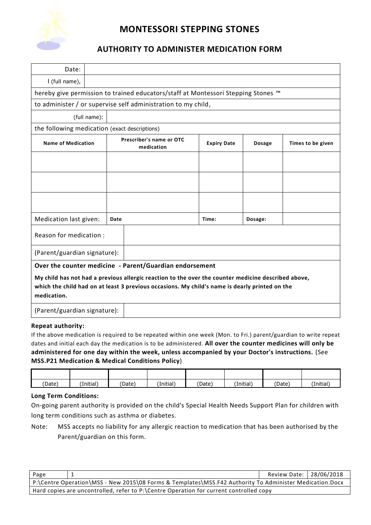

# **MONTESSORI STEPPING STONES**

### **AUTHORITY TO ADMINISTER MEDICATION FORM**

| Date:                                                                                                                                                                                                                |              |                                        |  |                    |               |                   |  |  |
|----------------------------------------------------------------------------------------------------------------------------------------------------------------------------------------------------------------------|--------------|----------------------------------------|--|--------------------|---------------|-------------------|--|--|
| I (full name),                                                                                                                                                                                                       |              |                                        |  |                    |               |                   |  |  |
| hereby give permission to trained educators/staff at Montessori Stepping Stones ™                                                                                                                                    |              |                                        |  |                    |               |                   |  |  |
| to administer / or supervise self administration to my child,                                                                                                                                                        |              |                                        |  |                    |               |                   |  |  |
|                                                                                                                                                                                                                      | (full name): |                                        |  |                    |               |                   |  |  |
| the following medication (exact descriptions)                                                                                                                                                                        |              |                                        |  |                    |               |                   |  |  |
| <b>Name of Medication</b>                                                                                                                                                                                            |              | Prescriber's name or OTC<br>medication |  | <b>Expiry Date</b> | <b>Dosage</b> | Times to be given |  |  |
|                                                                                                                                                                                                                      |              |                                        |  |                    |               |                   |  |  |
|                                                                                                                                                                                                                      |              |                                        |  |                    |               |                   |  |  |
|                                                                                                                                                                                                                      |              |                                        |  |                    |               |                   |  |  |
| Medication last given:                                                                                                                                                                                               |              | Date                                   |  | Time:              | Dosage:       |                   |  |  |
| Reason for medication:                                                                                                                                                                                               |              |                                        |  |                    |               |                   |  |  |
| (Parent/guardian signature):                                                                                                                                                                                         |              |                                        |  |                    |               |                   |  |  |
| Over the counter medicine - Parent/Guardian endorsement                                                                                                                                                              |              |                                        |  |                    |               |                   |  |  |
| My child has not had a previous allergic reaction to the over the counter medicine described above,<br>which the child had on at least 3 previous occasions. My child's name is dearly printed on the<br>medication. |              |                                        |  |                    |               |                   |  |  |
| (Parent/guardian signature):                                                                                                                                                                                         |              |                                        |  |                    |               |                   |  |  |

### **Repeat authority:**

If the above medication is required to be repeated within one week (Mon. to Fri.) parent/guardian to write repeat dates and initial each day the medication is to be administered. **All over the counter medicines will only be administered for one day within the week, unless accompanied by your Doctor's instructions.** (See **MSS.P21 Medication & Medical Conditions Policy**)

| (Date) | (Initial) | 'Date) | (Initial) | 'Date) | (Initial) | 'Date) | (Initial) |
|--------|-----------|--------|-----------|--------|-----------|--------|-----------|

#### **Long Term Conditions:**

On-going parent authority is provided on the child's Special Health Needs Support Plan for children with long term conditions such as asthma or diabetes.

Note: MSS accepts no liability for any allergic reaction to medication that has been authorised by the Parent/guardian on this form.

| Page                                                                                                    |  | Review Date: 28/06/2018 |  |  |  |  |
|---------------------------------------------------------------------------------------------------------|--|-------------------------|--|--|--|--|
| P:\Centre Operation\MSS - New 2015\08 Forms & Templates\MSS.F42 Authority To Administer Medication.Docx |  |                         |  |  |  |  |
| Hard copies are uncontrolled, refer to P:\Centre Operation for current controlled copy                  |  |                         |  |  |  |  |